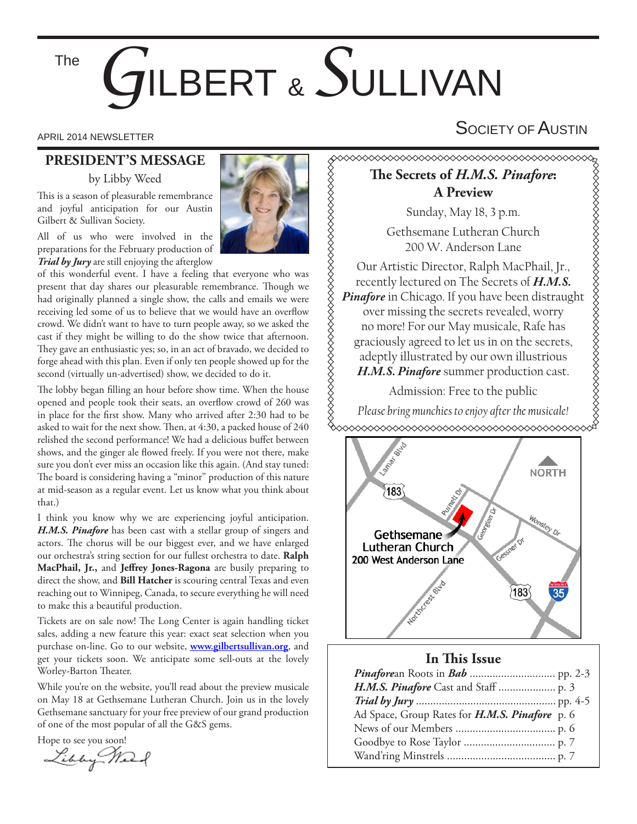The

# *G*ILBERT & *S*ULLIVAN

## **PRESIDENT'S MESSAGE**

by Libby Weed

This is a season of pleasurable remembrance and joyful anticipation for our Austin Gilbert & Sullivan Society.

All of us who were involved in the preparations for the February production of *Trial by Jury* are still enjoying the afterglow

of this wonderful event. I have a feeling that everyone who was present that day shares our pleasurable remembrance. Though we had originally planned a single show, the calls and emails we were receiving led some of us to believe that we would have an overflow crowd. We didn't want to have to turn people away, so we asked the cast if they might be willing to do the show twice that afternoon. They gave an enthusiastic yes; so, in an act of bravado, we decided to forge ahead with this plan. Even if only ten people showed up for the second (virtually un-advertised) show, we decided to do it.

The lobby began filling an hour before show time. When the house opened and people took their seats, an overflow crowd of 260 was in place for the first show. Many who arrived after 2:30 had to be asked to wait for the next show. Then, at  $4:30$ , a packed house of  $240$ relished the second performance! We had a delicious buffet between shows, and the ginger ale flowed freely. If you were not there, make sure you don't ever miss an occasion like this again. (And stay tuned: The board is considering having a "minor" production of this nature at mid-season as a regular event. Let us know what you think about that.)

I think you know why we are experiencing joyful anticipation. *H.M.S. Pinafore* has been cast with a stellar group of singers and actors. The chorus will be our biggest ever, and we have enlarged our orchestra's string section for our fullest orchestra to date. **Ralph**  MacPhail, Jr., and Jeffrey Jones-Ragona are busily preparing to direct the show, and **Bill Hatcher** is scouring central Texas and even reaching out to Winnipeg, Canada, to secure everything he will need to make this a beautiful production.

Tickets are on sale now! The Long Center is again handling ticket sales, adding a new feature this year: exact seat selection when you purchase on-line. Go to our website, **www.gilbertsullivan.org**, and get your tickets soon. We anticipate some sell-outs at the lovely Worley-Barton Theater.

While you're on the website, you'll read about the preview musicale on May 18 at Gethsemane Lutheran Church. Join us in the lovely Gethsemane sanctuary for your free preview of our grand production of one of the most popular of all the G&S gems.

Hope to see you soon!



APRIL 2014 NEWSLETTER  $\mathsf{S}$ OCIETY OF  $\mathsf{A}$ USTIN

# **Th e Secrets of** *H.M.S. Pinafore***: A Preview**

Sunday, May 18, 3 p.m.

Gethsemane Lutheran Church 200 W. Anderson Lane

Our Artistic Director, Ralph MacPhail, Jr., recently lectured on The Secrets of *H.M.S. Pinafore* in Chicago. If you have been distraught over missing the secrets revealed, worry no more! For our May musicale, Rafe has graciously agreed to let us in on the secrets, adeptly illustrated by our own illustrious *H.M.S. Pinafore* summer production cast.

Admission: Free to the public

*Please bring munchies to enjoy after the musicale!*



### **In This Issue**

| Ad Space, Group Rates for H.M.S. Pinafore p. 6 |  |
|------------------------------------------------|--|
|                                                |  |
|                                                |  |
|                                                |  |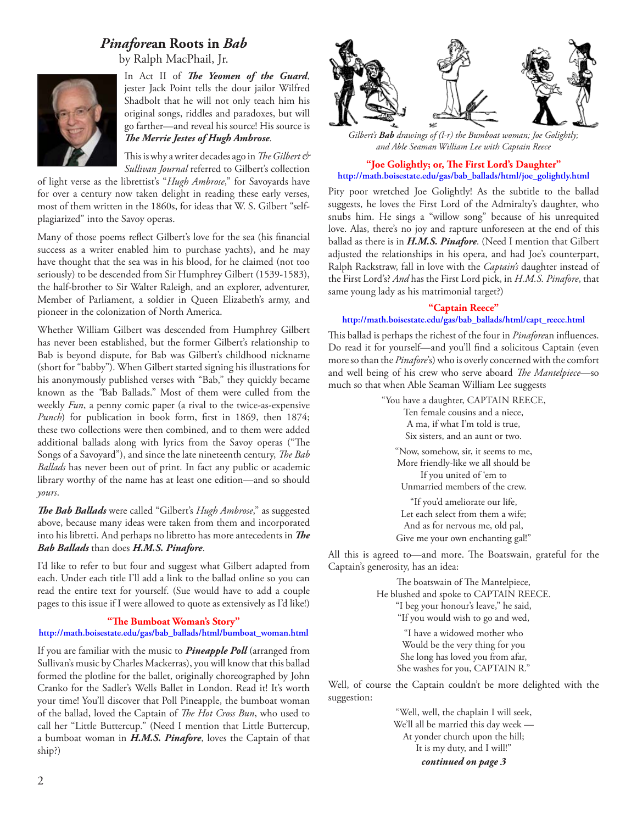# *Pinafore***an Roots in** *Bab*

by Ralph MacPhail, Jr.



In Act II of *The Yeomen of the Guard*, jester Jack Point tells the dour jailor Wilfred Shadbolt that he will not only teach him his original songs, riddles and paradoxes, but will go farther—and reveal his source! His source is **The Merrie Jestes of Hugh Ambrose.** 

This is why a writer decades ago in *The Gilbert & Sullivan Journal* referred to Gilbert's collection

of light verse as the librettist's "*Hugh Ambrose*," for Savoyards have for over a century now taken delight in reading these early verses, most of them written in the 1860s, for ideas that W. S. Gilbert "selfplagiarized" into the Savoy operas.

Many of those poems reflect Gilbert's love for the sea (his financial success as a writer enabled him to purchase yachts), and he may have thought that the sea was in his blood, for he claimed (not too seriously) to be descended from Sir Humphrey Gilbert (1539-1583), the half-brother to Sir Walter Raleigh, and an explorer, adventurer, Member of Parliament, a soldier in Queen Elizabeth's army, and pioneer in the colonization of North America.

Whether William Gilbert was descended from Humphrey Gilbert has never been established, but the former Gilbert's relationship to Bab is beyond dispute, for Bab was Gilbert's childhood nickname (short for "babby"). When Gilbert started signing his illustrations for his anonymously published verses with "Bab," they quickly became known as the *"*Bab Ballads." Most of them were culled from the weekly *Fun*, a penny comic paper (a rival to the twice-as-expensive *Punch*) for publication in book form, first in 1869, then 1874; these two collections were then combined, and to them were added additional ballads along with lyrics from the Savoy operas ("The Songs of a Savoyard"), and since the late nineteenth century, *The Bab Ballads* has never been out of print. In fact any public or academic library worthy of the name has at least one edition—and so should *yours*.

**The Bab Ballads** were called "Gilbert's *Hugh Ambrose*," as suggested above, because many ideas were taken from them and incorporated into his libretti. And perhaps no libretto has more antecedents in The *Bab Ballads* than does *H.M.S. Pinafore*.

I'd like to refer to but four and suggest what Gilbert adapted from each. Under each title I'll add a link to the ballad online so you can read the entire text for yourself. (Sue would have to add a couple pages to this issue if I were allowed to quote as extensively as I'd like!)

#### "The Bumboat Woman's Story"

#### **http://math.boisestate.edu/gas/bab\_ballads/html/bumboat\_woman.html**

If you are familiar with the music to *Pineapple Poll* (arranged from Sullivan's music by Charles Mackerras), you will know that this ballad formed the plotline for the ballet, originally choreographed by John Cranko for the Sadler's Wells Ballet in London. Read it! It's worth your time! You'll discover that Poll Pineapple, the bumboat woman of the ballad, loved the Captain of *The Hot Cross Bun*, who used to call her "Little Buttercup." (Need I mention that Little Buttercup, a bumboat woman in *H.M.S. Pinafore*, loves the Captain of that ship?)



*Gilbert's Bab drawings of (l-r) the Bumboat woman; Joe Golightly; and Able Seaman William Lee with Captain Reece*

#### "Joe Golightly; or, The First Lord's Daughter" **http://math.boisestate.edu/gas/bab\_ballads/html/joe\_golightly.html**

Pity poor wretched Joe Golightly! As the subtitle to the ballad suggests, he loves the First Lord of the Admiralty's daughter, who snubs him. He sings a "willow song" because of his unrequited love. Alas, there's no joy and rapture unforeseen at the end of this ballad as there is in *H.M.S. Pinafore*. (Need I mention that Gilbert adjusted the relationships in his opera, and had Joe's counterpart, Ralph Rackstraw, fall in love with the *Captain's* daughter instead of the First Lord's? *And* has the First Lord pick, in *H.M.S. Pinafore*, that same young lady as his matrimonial target?)

#### **"Captain Reece" http://math.boisestate.edu/gas/bab\_ballads/html/capt\_reece.html**

This ballad is perhaps the richest of the four in *Pinafore*an influences. Do read it for yourself—and you'll find a solicitous Captain (even more so than the *Pinafore*'s) who is overly concerned with the comfort and well being of his crew who serve aboard *The Mantelpiece*-so much so that when Able Seaman William Lee suggests

> "You have a daughter, CAPTAIN REECE, Ten female cousins and a niece, A ma, if what I'm told is true, Six sisters, and an aunt or two. "Now, somehow, sir, it seems to me, More friendly-like we all should be If you united of 'em to Unmarried members of the crew. "If you'd ameliorate our life, Let each select from them a wife; And as for nervous me, old pal,

Give me your own enchanting gal!"

All this is agreed to—and more. The Boatswain, grateful for the Captain's generosity, has an idea:

> The boatswain of The Mantelpiece, He blushed and spoke to CAPTAIN REECE. "I beg your honour's leave," he said,

"If you would wish to go and wed,

"I have a widowed mother who Would be the very thing for you She long has loved you from afar, She washes for you, CAPTAIN R."

Well, of course the Captain couldn't be more delighted with the suggestion:

> "Well, well, the chaplain I will seek, We'll all be married this day week — At yonder church upon the hill; It is my duty, and I will!" *continued on page 3*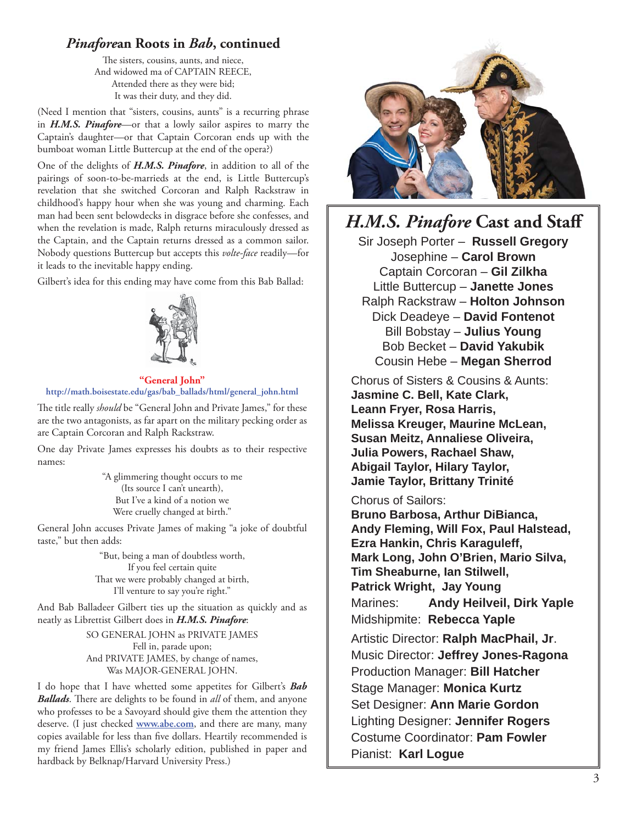## *Pinafore***an Roots in** *Bab***, continued**

The sisters, cousins, aunts, and niece, And widowed ma of CAPTAIN REECE, Attended there as they were bid; It was their duty, and they did.

(Need I mention that "sisters, cousins, aunts" is a recurring phrase in *H.M.S. Pinafore*—or that a lowly sailor aspires to marry the Captain's daughter—or that Captain Corcoran ends up with the bumboat woman Little Buttercup at the end of the opera?)

One of the delights of *H.M.S. Pinafore*, in addition to all of the pairings of soon-to-be-marrieds at the end, is Little Buttercup's revelation that she switched Corcoran and Ralph Rackstraw in childhood's happy hour when she was young and charming. Each man had been sent belowdecks in disgrace before she confesses, and when the revelation is made, Ralph returns miraculously dressed as the Captain, and the Captain returns dressed as a common sailor. Nobody questions Buttercup but accepts this *volte-face* readily—for it leads to the inevitable happy ending.

Gilbert's idea for this ending may have come from this Bab Ballad:



**"General John" http://math.boisestate.edu/gas/bab\_ballads/html/general\_john.html**

The title really *should* be "General John and Private James," for these are the two antagonists, as far apart on the military pecking order as are Captain Corcoran and Ralph Rackstraw.

One day Private James expresses his doubts as to their respective names:

> "A glimmering thought occurs to me (Its source I can't unearth), But I've a kind of a notion we Were cruelly changed at birth."

General John accuses Private James of making "a joke of doubtful taste," but then adds:

> "But, being a man of doubtless worth, If you feel certain quite That we were probably changed at birth, I'll venture to say you're right."

And Bab Balladeer Gilbert ties up the situation as quickly and as neatly as Librettist Gilbert does in *H.M.S. Pinafore*:

> SO GENERAL JOHN as PRIVATE JAMES Fell in, parade upon; And PRIVATE JAMES, by change of names, Was MAJOR-GENERAL JOHN.

I do hope that I have whetted some appetites for Gilbert's *Bab Ballads*. There are delights to be found in *all* of them, and anyone who professes to be a Savoyard should give them the attention they deserve. (I just checked **www.abe.com**, and there are many, many copies available for less than five dollars. Heartily recommended is my friend James Ellis's scholarly edition, published in paper and hardback by Belknap/Harvard University Press.)



# *H.M.S. Pinafore* **Cast and Staff**

Sir Joseph Porter – **Russell Gregory** Josephine – **Carol Brown** Captain Corcoran – **Gil Zilkha** Little Buttercup – **Janette Jones** Ralph Rackstraw – **Holton Johnson** Dick Deadeye – **David Fontenot** Bill Bobstay – **Julius Young** Bob Becket – **David Yakubik** Cousin Hebe – **Megan Sherrod**

Chorus of Sisters & Cousins & Aunts: **Jasmine C. Bell, Kate Clark, Leann Fryer, Rosa Harris, Melissa Kreuger, Maurine McLean, Susan Meitz, Annaliese Oliveira, Julia Powers, Rachael Shaw, Abigail Taylor, Hilary Taylor, Jamie Taylor, Brittany Trinité**

#### Chorus of Sailors:

**Bruno Barbosa, Arthur DiBianca, Andy Fleming, Will Fox, Paul Halstead, Ezra Hankin, Chris Karaguleff, Mark Long, John O'Brien, Mario Silva, Tim Sheaburne, Ian Stilwell, Patrick Wright, Jay Young** Marines: **Andy Heilveil, Dirk Yaple** Midshipmite: **Rebecca Yaple** Artistic Director: **Ralph MacPhail, Jr**. Music Director: **Jeffrey Jones-Ragona**

Production Manager: **Bill Hatcher** Stage Manager: **Monica Kurtz** Set Designer: **Ann Marie Gordon** Lighting Designer: **Jennifer Rogers** Costume Coordinator: **Pam Fowler** Pianist: **Karl Logue**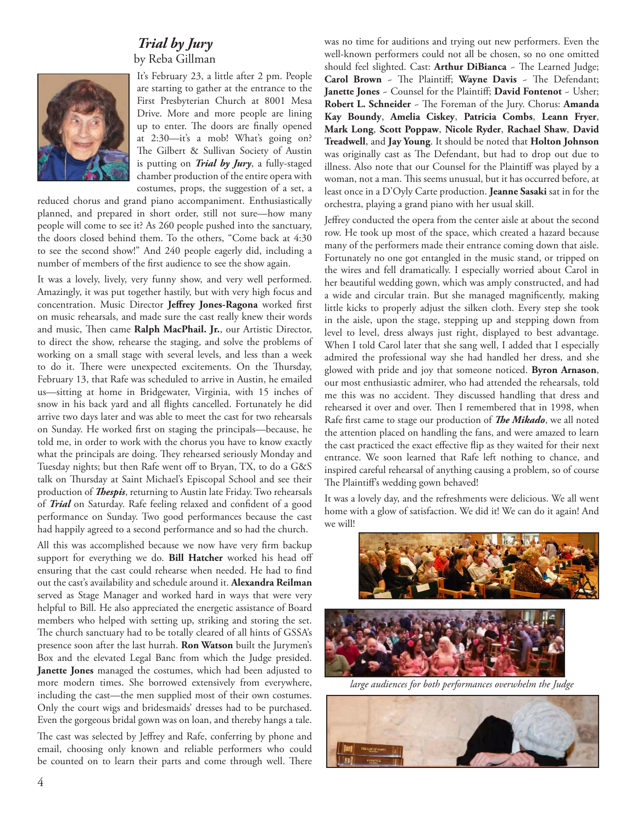## *Trial by Jury* by Reba Gillman



It's February 23, a little after 2 pm. People are starting to gather at the entrance to the First Presbyterian Church at 8001 Mesa Drive. More and more people are lining up to enter. The doors are finally opened at 2:30—it's a mob! What's going on? The Gilbert & Sullivan Society of Austin is putting on *Trial by Jury*, a fully-staged chamber production of the entire opera with costumes, props, the suggestion of a set, a

reduced chorus and grand piano accompaniment. Enthusiastically planned, and prepared in short order, still not sure—how many people will come to see it? As 260 people pushed into the sanctuary, the doors closed behind them. To the others, "Come back at 4:30 to see the second show!" And 240 people eagerly did, including a number of members of the first audience to see the show again.

It was a lovely, lively, very funny show, and very well performed. Amazingly, it was put together hastily, but with very high focus and concentration. Music Director Jeffrey Jones-Ragona worked first on music rehearsals, and made sure the cast really knew their words and music, Then came Ralph MacPhail. Jr., our Artistic Director, to direct the show, rehearse the staging, and solve the problems of working on a small stage with several levels, and less than a week to do it. There were unexpected excitements. On the Thursday, February 13, that Rafe was scheduled to arrive in Austin, he emailed us—sitting at home in Bridgewater, Virginia, with 15 inches of snow in his back yard and all flights cancelled. Fortunately he did arrive two days later and was able to meet the cast for two rehearsals on Sunday. He worked first on staging the principals—because, he told me, in order to work with the chorus you have to know exactly what the principals are doing. They rehearsed seriously Monday and Tuesday nights; but then Rafe went off to Bryan, TX, to do a G&S talk on Thursday at Saint Michael's Episcopal School and see their production of *Thespis*, returning to Austin late Friday. Two rehearsals of *Trial* on Saturday. Rafe feeling relaxed and confident of a good performance on Sunday. Two good performances because the cast had happily agreed to a second performance and so had the church.

All this was accomplished because we now have very firm backup support for everything we do. **Bill Hatcher** worked his head off ensuring that the cast could rehearse when needed. He had to find out the cast's availability and schedule around it. **Alexandra Reilman** served as Stage Manager and worked hard in ways that were very helpful to Bill. He also appreciated the energetic assistance of Board members who helped with setting up, striking and storing the set. The church sanctuary had to be totally cleared of all hints of GSSA's presence soon after the last hurrah. **Ron Watson** built the Jurymen's Box and the elevated Legal Banc from which the Judge presided. **Janette Jones** managed the costumes, which had been adjusted to more modern times. She borrowed extensively from everywhere, including the cast—the men supplied most of their own costumes. Only the court wigs and bridesmaids' dresses had to be purchased. Even the gorgeous bridal gown was on loan, and thereby hangs a tale.

The cast was selected by Jeffrey and Rafe, conferring by phone and email, choosing only known and reliable performers who could be counted on to learn their parts and come through well. There

was no time for auditions and trying out new performers. Even the well-known performers could not all be chosen, so no one omitted should feel slighted. Cast: **Arthur DiBianca** - The Learned Judge; **Carol Brown** - The Plaintiff; Wayne Davis - The Defendant; Janette Jones ~ Counsel for the Plaintiff; David Fontenot ~ Usher; **Robert L. Schneider** - The Foreman of the Jury. Chorus: Amanda **Kay Boundy**, **Amelia Ciskey**, **Patricia Combs**, **Leann Fryer**, **Mark Long**, **Scott Poppaw**, **Nicole Ryder**, **Rachael Shaw**, **David Treadwell**, and **Jay Young**. It should be noted that **Holton Johnson** was originally cast as The Defendant, but had to drop out due to illness. Also note that our Counsel for the Plaintiff was played by a woman, not a man. This seems unusual, but it has occurred before, at least once in a D'Oyly Carte production. **Jeanne Sasaki** sat in for the orchestra, playing a grand piano with her usual skill.

Jeffrey conducted the opera from the center aisle at about the second row. He took up most of the space, which created a hazard because many of the performers made their entrance coming down that aisle. Fortunately no one got entangled in the music stand, or tripped on the wires and fell dramatically. I especially worried about Carol in her beautiful wedding gown, which was amply constructed, and had a wide and circular train. But she managed magnificently, making little kicks to properly adjust the silken cloth. Every step she took in the aisle, upon the stage, stepping up and stepping down from level to level, dress always just right, displayed to best advantage. When I told Carol later that she sang well, I added that I especially admired the professional way she had handled her dress, and she glowed with pride and joy that someone noticed. **Byron Arnason**, our most enthusiastic admirer, who had attended the rehearsals, told me this was no accident. They discussed handling that dress and rehearsed it over and over. Then I remembered that in 1998, when Rafe first came to stage our production of *The Mikado*, we all noted the attention placed on handling the fans, and were amazed to learn the cast practiced the exact effective flip as they waited for their next entrance. We soon learned that Rafe left nothing to chance, and inspired careful rehearsal of anything causing a problem, so of course The Plaintiff's wedding gown behaved!

It was a lovely day, and the refreshments were delicious. We all went home with a glow of satisfaction. We did it! We can do it again! And we will!



*large audiences for both performances overwhelm the Judge*

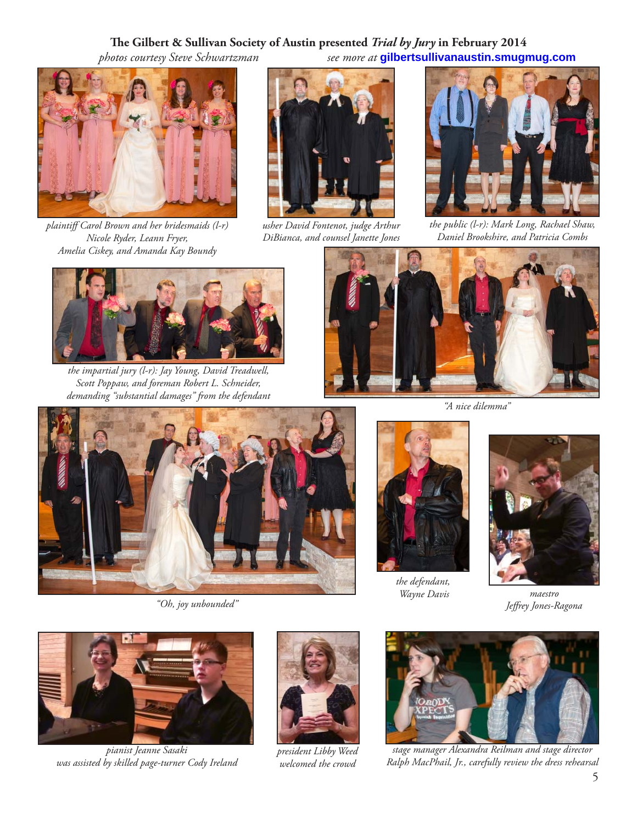## The Gilbert & Sullivan Society of Austin presented *Trial by Jury* in February 2014

 *photos courtesy Steve Schwartzman see more at* **gilbertsullivanaustin.smugmug.com**



*plaintiff Carol Brown and her bridesmaids (l-r) Nicole Ryder, Leann Fryer, Amelia Ciskey, and Amanda Kay Boundy*



*usher David Fontenot, judge Arthur DiBianca, and counsel Janette Jones*



*the public (l-r): Mark Long, Rachael Shaw, Daniel Brookshire, and Patricia Combs*



*the impartial jury (l-r): Jay Young, David Treadwell, Scott Poppaw, and foreman Robert L. Schneider, demanding "substantial damages" from the defendant*



*"A nice dilemma"*



*"Oh, joy unbounded"*



*the defendant, Wayne Davis*



*maestro Jeff rey Jones-Ragona*



*pianist Jeanne Sasaki was assisted by skilled page-turner Cody Ireland*



*president Libby Weed welcomed the crowd*



*stage manager Alexandra Reilman and stage director Ralph MacPhail, Jr., carefully review the dress rehearsal*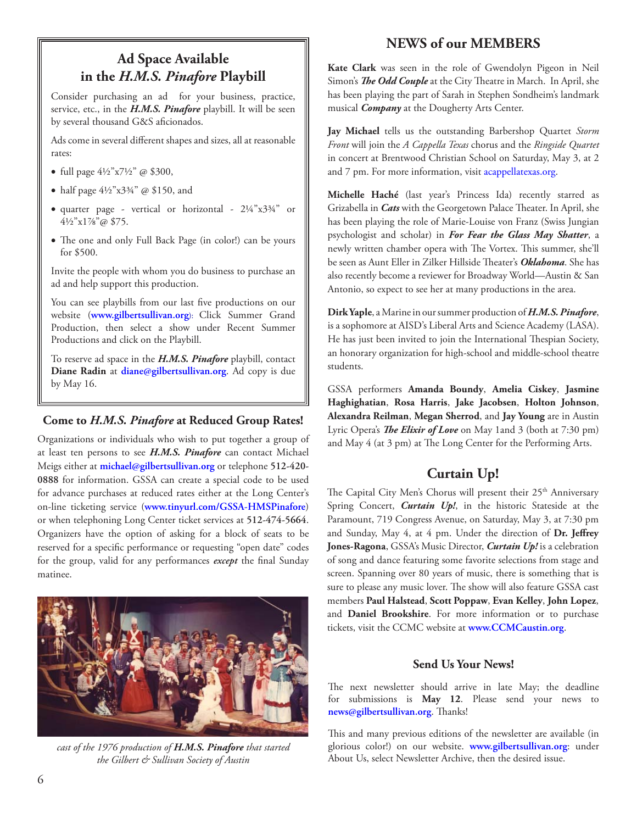# **Ad Space Available in the** *H.M.S. Pinafore* **Playbill**

Consider purchasing an ad for your business, practice, service, etc., in the *H.M.S. Pinafore* playbill. It will be seen by several thousand G&S aficionados.

Ads come in several different shapes and sizes, all at reasonable rates:

- full page  $4\frac{1}{2}$ " x7½" @ \$300,
- half page  $4\frac{1}{2}$ "x3¼" @ \$150, and
- quarter page vertical or horizontal 2¼"x3¾" or 4½"x1⅞"@ \$75.
- The one and only Full Back Page (in color!) can be yours for \$500.

Invite the people with whom you do business to purchase an ad and help support this production.

You can see playbills from our last five productions on our website (**www.gilbertsullivan.org**): Click Summer Grand Production, then select a show under Recent Summer Productions and click on the Playbill.

To reserve ad space in the *H.M.S. Pinafore* playbill, contact **Diane Radin** at **diane@gilbertsullivan.org**. Ad copy is due by May 16.

#### **Come to** *H.M.S. Pinafore* **at Reduced Group Rates!**

Organizations or individuals who wish to put together a group of at least ten persons to see *H.M.S. Pinafore* can contact Michael Meigs either at **michael@gilbertsullivan.org** or telephone **512-420- 0888** for information. GSSA can create a special code to be used for advance purchases at reduced rates either at the Long Center's on-line ticketing service (**www.tinyurl.com/GSSA-HMSPinafore**) or when telephoning Long Center ticket services at **512-474-5664**. Organizers have the option of asking for a block of seats to be reserved for a specific performance or requesting "open date" codes for the group, valid for any performances *except* the final Sunday matinee.



*cast of the 1976 production of H.M.S. Pinafore that started the Gilbert & Sullivan Society of Austin*

## **NEWS of our MEMBERS**

**Kate Clark** was seen in the role of Gwendolyn Pigeon in Neil Simon's *The Odd Couple* at the City Theatre in March. In April, she has been playing the part of Sarah in Stephen Sondheim's landmark musical *Company* at the Dougherty Arts Center.

**Jay Michael** tells us the outstanding Barbershop Quartet *Storm Front* will join the *A Cappella Texas* chorus and the *Ringside Quartet* in concert at Brentwood Christian School on Saturday, May 3, at 2 and 7 pm. For more information, visit acappellatexas.org.

**Michelle Haché** (last year's Princess Ida) recently starred as Grizabella in *Cats* with the Georgetown Palace Theater. In April, she has been playing the role of Marie-Louise von Franz (Swiss Jungian psychologist and scholar) in *For Fear the Glass May Shatter*, a newly written chamber opera with The Vortex. This summer, she'll be seen as Aunt Eller in Zilker Hillside Theater's *Oklahoma*. She has also recently become a reviewer for Broadway World—Austin & San Antonio, so expect to see her at many productions in the area.

**Dirk Yaple**, a Marine in our summer production of *H.M.S. Pinafore*, is a sophomore at AISD's Liberal Arts and Science Academy (LASA). He has just been invited to join the International Thespian Society, an honorary organization for high-school and middle-school theatre students.

GSSA performers **Amanda Boundy**, **Amelia Ciskey**, **Jasmine Haghighatian**, **Rosa Harris**, **Jake Jacobsen**, **Holton Johnson**, **Alexandra Reilman**, **Megan Sherrod**, and **Jay Young** are in Austin Lyric Opera's *The Elixir of Love* on May 1and 3 (both at 7:30 pm) and May 4 (at 3 pm) at The Long Center for the Performing Arts.

## **Curtain Up!**

The Capital City Men's Chorus will present their 25<sup>th</sup> Anniversary Spring Concert, *Curtain Up!*, in the historic Stateside at the Paramount, 719 Congress Avenue, on Saturday, May 3, at 7:30 pm and Sunday, May 4, at 4 pm. Under the direction of Dr. Jeffrey **Jones-Ragona**, GSSA's Music Director, *Curtain Up!* is a celebration of song and dance featuring some favorite selections from stage and screen. Spanning over 80 years of music, there is something that is sure to please any music lover. The show will also feature GSSA cast members **Paul Halstead**, **Scott Poppaw**, **Evan Kelley**, **John Lopez**, and **Daniel Brookshire**. For more information or to purchase tickets, visit the CCMC website at **www.CCMCaustin.org**.

#### **Send Us Your News!**

The next newsletter should arrive in late May; the deadline for submissions is **May 12**. Please send your news to **news@gilbertsullivan.org**. Thanks!

This and many previous editions of the newsletter are available (in glorious color!) on our website. **www.gilbertsullivan.org**: under About Us, select Newsletter Archive, then the desired issue.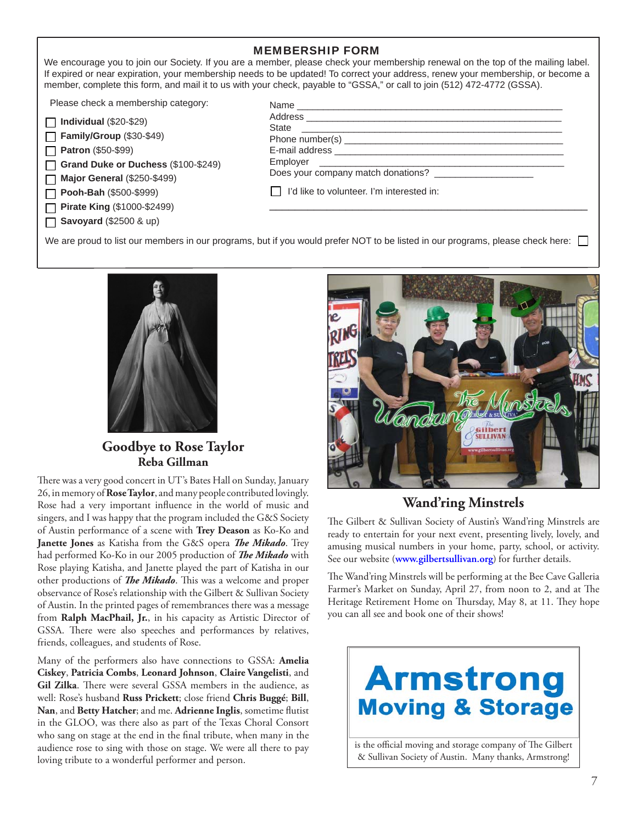#### MEMBERSHIP FORM

We encourage you to join our Society. If you are a member, please check your membership renewal on the top of the mailing label. If expired or near expiration, your membership needs to be updated! To correct your address, renew your membership, or become a member, complete this form, and mail it to us with your check, payable to "GSSA," or call to join (512) 472-4772 (GSSA).

Please check a membership category:

| $\Box$ Individual (\$20-\$29) |  |
|-------------------------------|--|
|                               |  |

**Family/Group** (\$30-\$49) **Patron** (\$50-\$99)

 $\Box$ 

**Grand Duke or Duchess** (\$100-\$249)

**Major General** (\$250-\$499)  $\Box$ **Pooh-Bah** (\$500-\$999)  $\Box$ 

**Pirate King** (\$1000-\$2499)

**Savoyard** (\$2500 & up)

| Name                                                                          |  |
|-------------------------------------------------------------------------------|--|
|                                                                               |  |
| <b>State</b><br><u> 1989 - Johann Stein, mars an deutscher Stein († 1958)</u> |  |
|                                                                               |  |
|                                                                               |  |
|                                                                               |  |
| Does your company match donations?                                            |  |
| I'd like to volunteer. I'm interested in:                                     |  |
|                                                                               |  |

We are proud to list our members in our programs, but if you would prefer NOT to be listed in our programs, please check here:



**Goodbye to Rose Taylor Reba Gillman**

There was a very good concert in UT's Bates Hall on Sunday, January 26, in memory of **Rose Taylor**, and many people contributed lovingly. Rose had a very important influence in the world of music and singers, and I was happy that the program included the G&S Society of Austin performance of a scene with **Trey Deason** as Ko-Ko and **Janette Jones** as Katisha from the G&S opera *The Mikado*. Trey had performed Ko-Ko in our 2005 production of *The Mikado* with Rose playing Katisha, and Janette played the part of Katisha in our other productions of *The Mikado*. This was a welcome and proper observance of Rose's relationship with the Gilbert & Sullivan Society of Austin. In the printed pages of remembrances there was a message from **Ralph MacPhail, Jr.**, in his capacity as Artistic Director of GSSA. There were also speeches and performances by relatives, friends, colleagues, and students of Rose.

Many of the performers also have connections to GSSA: **Amelia Ciskey**, **Patricia Combs**, **Leonard Johnson**, **Claire Vangelisti**, and Gil Zilka. There were several GSSA members in the audience, as well: Rose's husband **Russ Prickett**; close friend **Chris Buggé**; **Bill**, Nan, and Betty Hatcher; and me. Adrienne Inglis, sometime flutist in the GLOO, was there also as part of the Texas Choral Consort who sang on stage at the end in the final tribute, when many in the audience rose to sing with those on stage. We were all there to pay loving tribute to a wonderful performer and person.



## **Wand'ring Minstrels**

The Gilbert & Sullivan Society of Austin's Wand'ring Minstrels are ready to entertain for your next event, presenting lively, lovely, and amusing musical numbers in your home, party, school, or activity. See our website (**www.gilbertsullivan.org**) for further details.

The Wand'ring Minstrels will be performing at the Bee Cave Galleria Farmer's Market on Sunday, April 27, from noon to 2, and at The Heritage Retirement Home on Thursday, May 8, at 11. They hope you can all see and book one of their shows!



is the official moving and storage company of The Gilbert & Sullivan Society of Austin. Many thanks, Armstrong!